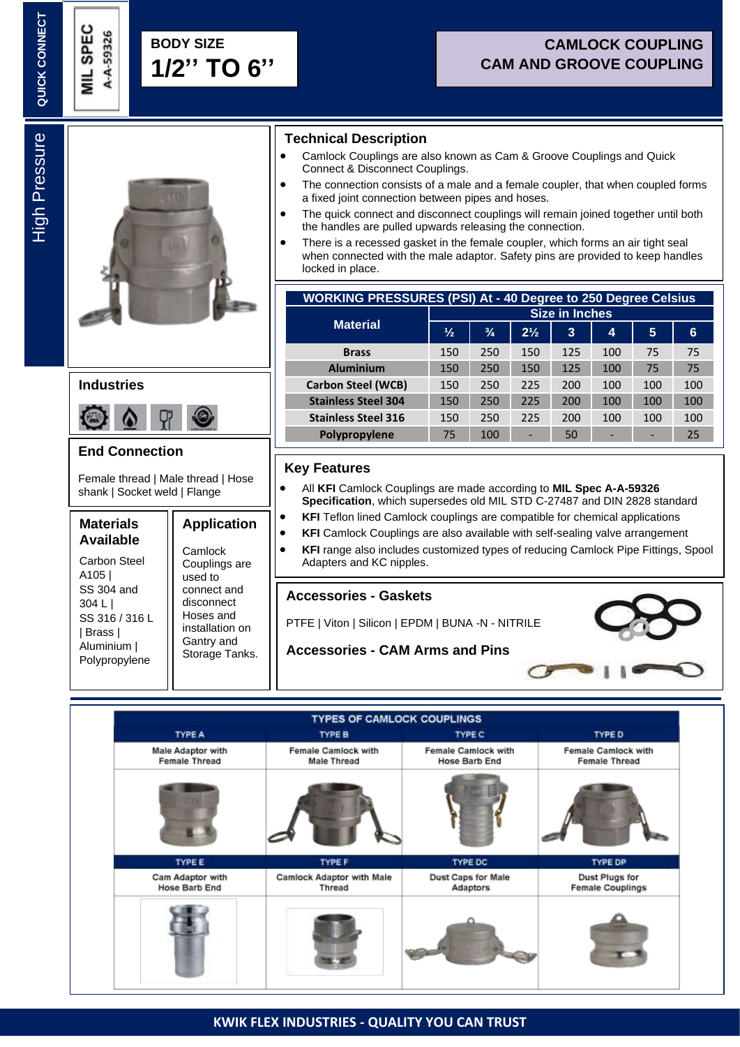A-A-59326

# **CAMLOCK COUPLING CAM AND GROOVE COUPLING**

High Pressure **High Pressure** 



## **Industries**



## **End Connection**

Female thread | Male thread | Hose shank | Socket weld | Flange

#### **Materials Available**

Carbon Steel A105 | SS 304 and 304 L | SS 316 / 316 L | Brass | Aluminium | Polypropylene

**Application Camlock** Couplings are used to connect and disconnect Hoses and installation on Gantry and

Storage Tanks.

#### **Technical Description**

- Camlock Couplings are also known as Cam & Groove Couplings and Quick Connect & Disconnect Couplings.
- The connection consists of a male and a female coupler, that when coupled forms a fixed joint connection between pipes and hoses.
- The quick connect and disconnect couplings will remain joined together until both the handles are pulled upwards releasing the connection.
- There is a recessed gasket in the female coupler, which forms an air tight seal when connected with the male adaptor. Safety pins are provided to keep handles locked in place.

| <b>WORKING PRESSURES (PSI) At - 40 Degree to 250 Degree Celsius</b> |                       |               |                |     |     |     |     |
|---------------------------------------------------------------------|-----------------------|---------------|----------------|-----|-----|-----|-----|
| <b>Material</b>                                                     | <b>Size in Inches</b> |               |                |     |     |     |     |
|                                                                     | $\frac{1}{2}$         | $\frac{3}{4}$ | $2\frac{1}{2}$ | 3   | 4   | 5   | 6   |
| <b>Brass</b>                                                        | 150                   | 250           | 150            | 125 | 100 | 75  | 75  |
| <b>Aluminium</b>                                                    | 150                   | 250           | 150            | 125 | 100 | 75  | 75  |
| <b>Carbon Steel (WCB)</b>                                           | 150                   | 250           | 225            | 200 | 100 | 100 | 100 |
| <b>Stainless Steel 304</b>                                          | 150                   | 250           | 225            | 200 | 100 | 100 | 100 |
| <b>Stainless Steel 316</b>                                          | 150                   | 250           | 225            | 200 | 100 | 100 | 100 |
| Polypropylene                                                       | 75                    | 100           | -              | 50  | -   | -   | 25  |

## **Key Features**

Γ

Γ

- All **KFI** Camlock Couplings are made according to **MIL Spec A-A-59326 Specification**, which supersedes old MIL STD C-27487 and DIN 2828 standard
- **KFI** Teflon lined Camlock couplings are compatible for chemical applications
- **KFI** Camlock Couplings are also available with self-sealing valve arrangement
- **KFI** range also includes customized types of reducing Camlock Pipe Fittings, Spool Adapters and KC nipples.

#### **Accessories - Gaskets**

PTFE | Viton | Silicon | EPDM | BUNA -N - NITRILE

**Accessories - CAM Arms and Pins**



#### **TYPES OF CAMLOCK COUPLINGS TYPE B TYPE A TYPE C TYPE D** Male Adaptor with Female Camlock with Female Camlock with Female Camlock with Female Thread **Female Thread Male Thread Hose Barb End TYPE E TYPE DP TYPE! TYPE DC** Dust Caps for Male Dust Plugs for Cam Adaptor with **Camlock Adaptor with Male Hose Barb End** Adaptors **Female Couplings** Thread

#### **KWIK FLEX INDUSTRIES - QUALITY YOU CAN TRUST**